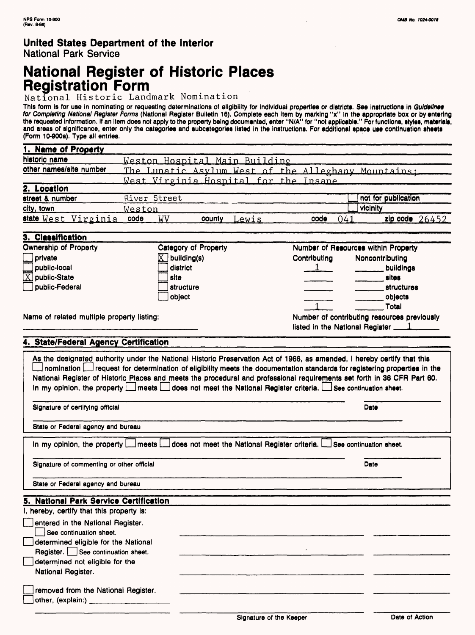# **National Register of Historic Places Registration Form**

National Historic Landmark Nomination

This form is for use in nominating or requesting determinations of eligibility for individual properties or districts. See instructions in *Guidelines*<br>*for Completing National Register Forms* (National Register Builetin 1 the requested Information. If an item does not apply to the property being documented, enter "N/A" for "not applicable." For functions, styles, materials, and areas of significance, enter only the categories and subcategorles listed in the Instructions. For additional space use continuation sheets (Form 10-900a). Type all entries.

| 1. Name of Property     |                                                     |                     |
|-------------------------|-----------------------------------------------------|---------------------|
| historic name           | Weston Hospital Main Building                       |                     |
| other names/site number | The Lunatic Asylum West of the Alleghany Mountains: |                     |
|                         | West Virginia Hospital for the Insane               |                     |
| 2. Location             |                                                     |                     |
| street & number         | River Street                                        | not for publication |
| city, town              | Weston                                              | vicinity            |
| state West Virginia     | code<br><b>WV</b><br>041<br>Lewis<br>code<br>county | zip code $26452$    |

| 3. Classification                          |                            |                                 |                                             |
|--------------------------------------------|----------------------------|---------------------------------|---------------------------------------------|
| <b>Ownership of Property</b>               | Category of Property       |                                 | Number of Resources within Property         |
| private                                    | $\overline{X}$ building(s) | Contributing                    | Noncontributing                             |
| $\Box$ public-local                        | district                   |                                 | buildings                                   |
| $\overline{\mathbb{X}}$ public-State       | site                       |                                 | sites                                       |
| public-Federal                             | structure                  |                                 | <b>structures</b>                           |
|                                            | object                     |                                 | objects                                     |
|                                            |                            |                                 | Total                                       |
| Name of related multiple property listing: |                            |                                 | Number of contributing resources previously |
|                                            |                            | listed in the National Register |                                             |

### **4. State/Federal Agency Certification**

| As the designated authority under the National Historic Preservation Act of 1966, as amended, I hereby certify that this<br>nomination Lui request for determination of eligibility meets the documentation standards for registering properties in the<br>National Register of Historic Places and meets the procedural and professional requirements set forth in 36 CFR Part 60.<br>In my opinion, the property [ meets [ does not meet the National Register criteria. [ See continuation sheet. |      |
|------------------------------------------------------------------------------------------------------------------------------------------------------------------------------------------------------------------------------------------------------------------------------------------------------------------------------------------------------------------------------------------------------------------------------------------------------------------------------------------------------|------|
| Signature of certifying official                                                                                                                                                                                                                                                                                                                                                                                                                                                                     | Date |
| State or Federal agency and bureau                                                                                                                                                                                                                                                                                                                                                                                                                                                                   |      |
| In my opinion, the property $\Box$ meets $\Box$ does not meet the National Register criteria. $\Box$ See continuation sheet.                                                                                                                                                                                                                                                                                                                                                                         |      |
| Signature of commenting or other official                                                                                                                                                                                                                                                                                                                                                                                                                                                            | Date |
| State or Federal agency and bureau                                                                                                                                                                                                                                                                                                                                                                                                                                                                   |      |
| 5. National Park Service Certification                                                                                                                                                                                                                                                                                                                                                                                                                                                               |      |
| I, hereby, certify that this property is:                                                                                                                                                                                                                                                                                                                                                                                                                                                            |      |
| entered in the National Register.<br>See continuation sheet.                                                                                                                                                                                                                                                                                                                                                                                                                                         |      |
| determined eligible for the National<br>Register. See continuation sheet.                                                                                                                                                                                                                                                                                                                                                                                                                            |      |
| determined not eligible for the                                                                                                                                                                                                                                                                                                                                                                                                                                                                      |      |
| National Register.                                                                                                                                                                                                                                                                                                                                                                                                                                                                                   |      |
| removed from the National Register.<br>other, (explain:)                                                                                                                                                                                                                                                                                                                                                                                                                                             |      |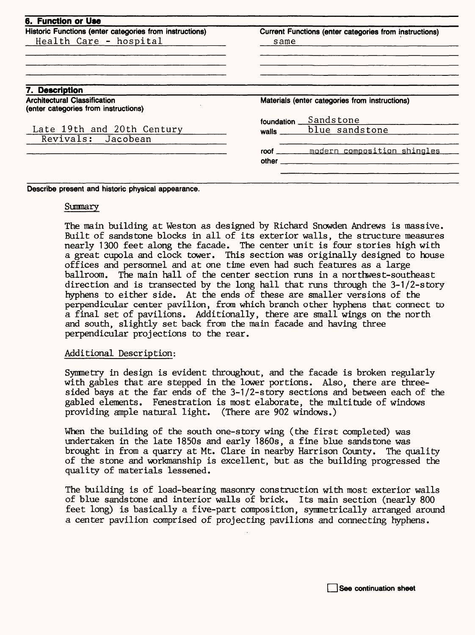| <b>6. Function or Use</b>                                                   |                                                        |                             |
|-----------------------------------------------------------------------------|--------------------------------------------------------|-----------------------------|
| Historic Functions (enter categories from instructions)                     | Current Functions (enter categories from instructions) |                             |
| Health Care - hospital                                                      | same                                                   |                             |
| 7. Description                                                              |                                                        |                             |
| <b>Architectural Classification</b><br>(enter categories from instructions) | Materials (enter categories from instructions)         |                             |
|                                                                             | foundation                                             | Sandstone                   |
| Late 19th and 20th Century<br>Revivals: Jacobean                            | walls                                                  | blue sandstone              |
|                                                                             | roof<br>other                                          | modern composition shingles |

**Describe present and historic physical appearance.**

#### Summary

The main building at Weston as designed by Richard Snowden Andrews is massive. Built of sandstone blocks in all of its exterior walls, the structure measures nearly 1300 feet along the facade. The center unit is four stories high with a great cupola and clock tower. This section was originally designed to house offices and personnel and at one time even had such features as a large ballroom. The main hall of the center section runs in a northwest-southeast direction and is transected by the long hall that runs through the 3-1/2-story hyphens to either side. At the ends of these are smaller versions of the perpendicular center pavilion, from which branch other hyphens that connect to a final set of pavilions. Additionally, there are small wings on the north and south, slightly set back from the main facade and having three perpendicular projections to the rear.

#### Additional Description:

Symmetry in design is evident throughout, and the facade is broken regularly with gables that are stepped in the lower portions. Also, there are threesided bays at the far ends of the 3-1/2-story sections and between each of the gabled elements. Fenestration is most elaborate, the multitude of windows providing ample natural light. (There are 902 windows.)

When the building of the south one-story wing (the first completed) was undertaken in the late 1850s and early 1860s, a fine blue sandstone was brought in from a quarry at Mt. Clare in nearby Harrison County. The quality of the stone and workmanship is excellent, but as the building progressed the quality of materials lessened.

The building is of load-bearing masonry construction with most exterior walls of blue sandstone and interior walls of brick. Its main section (nearly 800 feet long) is basically a five-part composition, symmetrically arranged around a center pavilion comprised of projecting pavilions and connecting hyphens.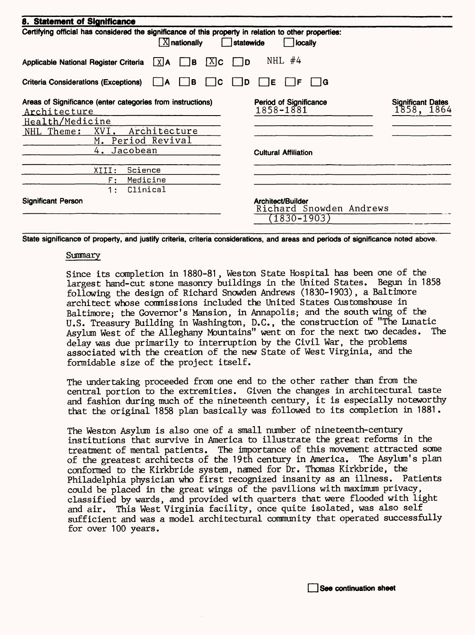| 8. Statement of Significance<br>Certifying official has considered the significance of this property in relation to other properties:<br>$[X]$ nationally<br>statewide<br>locally |                                                                 |                                        |  |  |
|-----------------------------------------------------------------------------------------------------------------------------------------------------------------------------------|-----------------------------------------------------------------|----------------------------------------|--|--|
|                                                                                                                                                                                   |                                                                 |                                        |  |  |
| <b>Criteria Considerations (Exceptions)</b><br>l B<br>C<br>ΙA                                                                                                                     | D<br>E<br>١F<br>١G                                              |                                        |  |  |
| Areas of Significance (enter categories from instructions)<br>Architecture                                                                                                        | <b>Period of Significance</b><br>1858-1881                      | <b>Significant Dates</b><br>1858, 1864 |  |  |
| Health/Medicine                                                                                                                                                                   |                                                                 |                                        |  |  |
| Architecture<br>NHL Theme:<br>XVI.<br>M. Period Revival                                                                                                                           |                                                                 |                                        |  |  |
| Jacobean<br>4.                                                                                                                                                                    | <b>Cultural Affiliation</b>                                     |                                        |  |  |
| Science<br>XIII:                                                                                                                                                                  |                                                                 |                                        |  |  |
| Medicine<br>F:                                                                                                                                                                    |                                                                 |                                        |  |  |
| Clinical<br>1 :                                                                                                                                                                   |                                                                 |                                        |  |  |
| <b>Significant Person</b>                                                                                                                                                         | Architect/Builder<br>Richard Snowden Andrews<br>$(1830 - 1903)$ |                                        |  |  |

**State significance of property, and justify criteria, criteria considerations, and areas and periods of significance noted above.** 

#### **Summary**

Since its completion in 1880-81 , Weston State Hospital has been one of^the largest hand-cut stone masonry buildings in the United States. Begun in 1858 following the design of Richard Snowden Andrews (1830-1903), a Baltimore architect whose commissions included the United States Customshouse in Baltimore; the Governor's Mansion, in Annapolis; and the south wing of the U.S. Treasury Building in Washington, D.C., the construction of "The Lunatic Asylum West of the Alleghany Mountains" went on for the next two decades. delay was due primarily to interruption by the Civil War, the problems associated with the creation of the new State of West Virginia, and the formidable size of the project itself.

The undertaking proceeded from one end to the other rather than from the central portion to the extremities. Given the changes in architectural taste and fashion during much of the nineteenth century, it is especially noteworthy that the original 1858 plan basically was followed to its completion in 1881.

The Weston Asylum is also one of a small number of nineteenth-century institutions that survive in America to illustrate the great reforms in the treatment of mental patients. The importance of this movement attracted some of the greatest architects of the 19th century in America. The Asylum's plan conformed to the Kirkbride system, named for Dr. Thomas Kirkbride, the Philadelphia physician who first recognized insanity as an illness. Patients could be placed in the great wings of the pavilions with maximum privacy, classified by wards, and provided with quarters that were flooded with light and air. This West Virginia facility, once quite isolated, was also self sufficient and was a model architectural community that operated successfully for over 100 years.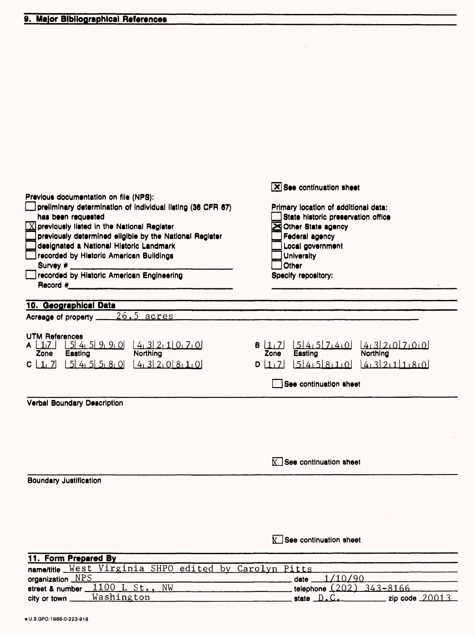| Previous documentation on file (NPS):<br>preliminary determination of individual listing (36 CFR 67)<br>has been requested<br>$\boxed{\times}$ previously listed in the National Register<br>previously determined eligible by the National Register<br>designated a National Historic Landmark<br>recorded by Historic American Buildings<br>Survey $#$ _______<br>Jrecorded by Historic American Engineering | $\overline{\mathsf{X}}$ See continuation sheet<br>Primary location of additional data:<br>State historic preservation office<br>Other State agency<br>Federal agency<br>Local government<br><b>University</b><br>Other<br>Specify repository: |
|----------------------------------------------------------------------------------------------------------------------------------------------------------------------------------------------------------------------------------------------------------------------------------------------------------------------------------------------------------------------------------------------------------------|-----------------------------------------------------------------------------------------------------------------------------------------------------------------------------------------------------------------------------------------------|
| 10. Geographical Data                                                                                                                                                                                                                                                                                                                                                                                          |                                                                                                                                                                                                                                               |
| Acreage of property ______ 26.5 acres                                                                                                                                                                                                                                                                                                                                                                          |                                                                                                                                                                                                                                               |
| <b>UTM References</b><br>$\left[ \frac{5}{4} \right] \frac{4}{9} \left[ \frac{9}{9} \right] \left[ \frac{4}{3} \right] \left[ \frac{2}{1} \right] \left[ \frac{7}{0} \right]$<br>A $\lfloor 1_1 7 \rfloor$<br>Easting<br><b>Northing</b><br>Zone<br>$C \left[ 1, 7 \right] \left[ 5 \right] 4, 5 \left[ 5, 8, 0 \right] \left[ 4, 3 \right] 2, 0 \left[ 8, 1, 0 \right]$                                       | 9 [1,7] [5]4.5[7.4.0]<br>4.320700<br>Easting<br>Northing<br>Zone<br>$0$ 1,7 54,58,10 4,32,11,80                                                                                                                                               |
|                                                                                                                                                                                                                                                                                                                                                                                                                | See continuation sheet                                                                                                                                                                                                                        |
| Verbal Boundary Description                                                                                                                                                                                                                                                                                                                                                                                    |                                                                                                                                                                                                                                               |
|                                                                                                                                                                                                                                                                                                                                                                                                                | $\mathbb{X}$ See continuation sheet                                                                                                                                                                                                           |
| <b>Boundary Justification</b>                                                                                                                                                                                                                                                                                                                                                                                  |                                                                                                                                                                                                                                               |
|                                                                                                                                                                                                                                                                                                                                                                                                                | $\mathbf{X}$ See continuation sheet                                                                                                                                                                                                           |
| 11. Form Prepared By<br><b>SHPO</b><br>West Virginia<br>edited                                                                                                                                                                                                                                                                                                                                                 | by Carolyn Pitts                                                                                                                                                                                                                              |
| name/title<br>organization NPS                                                                                                                                                                                                                                                                                                                                                                                 | 1/10/90<br>date_                                                                                                                                                                                                                              |
| 1100<br>L St.,<br>NW<br>street & number                                                                                                                                                                                                                                                                                                                                                                        | telephone $(202)$<br>$343 - 8166$                                                                                                                                                                                                             |
| Washington<br>city or town _                                                                                                                                                                                                                                                                                                                                                                                   | state D.C.<br>zip code 20013                                                                                                                                                                                                                  |

÷.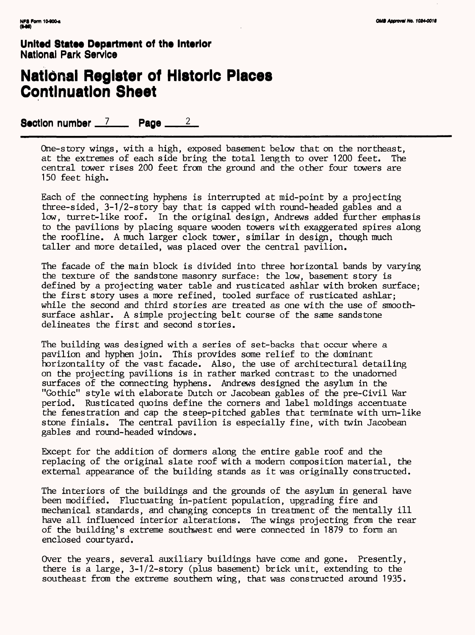## **National Register of Historic Places Continuation Sheet**

Section number  $\frac{7}{2}$  Page  $\frac{2}{2}$ 

One-story wings, with *a* high, exposed basement below that on the northeast, at the extremes of each side bring the total length to over 1200 feet. central tower rises 200 feet from the ground and the other four towers are 150 feet high.

Each of the connecting hyphens is interrupted at mid-point by a projecting three-sided, 3-1/2-story bay that is capped with round-headed gables and a low, turret-like roof. In the original design, Andrews added further emphasis to the pavilions by placing square wooden towers with exaggerated spires along the roofline. A much larger clock tower, similar in design, though much taller and more detailed, was placed over the central pavilion.

The facade of the main block is divided into three horizontal bands by varying the texture of the sandstone masonry surface: the low, basement story is defined by a projecting water table and rusticated ashlar with broken surface; the first story uses a more refined, tooled surface of rusticated ashlar; while the second and third stories are treated as one with the use of smoothsurface ashlar. A simple projecting belt course of the same sandstone delineates the first and second stories.

The building was designed with a series of set-backs that occur where a pavilion and hyphen join. This provides some relief to the dominant horizontality of the vast facade. Also, the use of architectural detailing on the projecting pavilions is in rather marked contrast to the unadorned surfaces of the connecting hyphens. Andrews designed the asylum in the "Gothic" style with elaborate Dutch or Jacobean gables of the pre-Civil War period. Rusticated quoins define the corners and label moldings accentuate the fenestration and cap the steep-pitched gables that terminate with urn-like stone finials. The central pavilion is especially fine, with twin Jacobean gables and round-headed windows.

Except for the addition of dormers along the entire gable roof and the replacing of the original slate roof with a modern composition material, the external appearance of the building stands as it was originally constructed.

The interiors of the buildings and the grounds of the asylum in general have been modified. Fluctuating in-patient population, upgrading fire and mechanical standards, and changing concepts in treatment of the mentally ill have all influenced interior alterations. The wings projecting from the rear of the building's extreme southwest end were connected in 1879 to form an enclosed courtyard.

Over the years, several auxiliary buildings have come and gone. Presently, there is a large, 3-1/2-story (plus basement) brick unit, extending to the southeast from the extreme southern wing, that was constructed around 1935.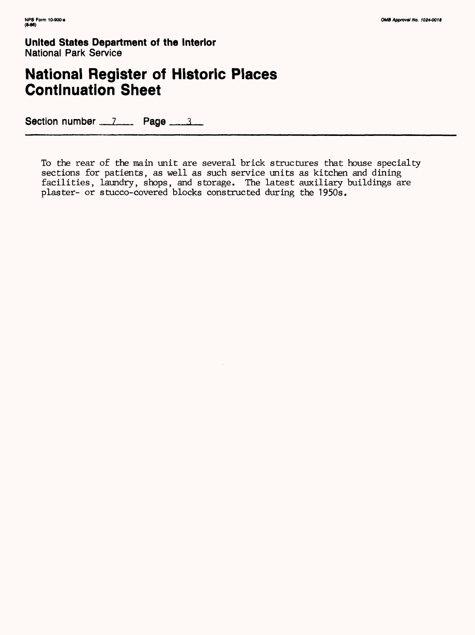# **National Register of Historic Places Continuation Sheet**

Section number  $1$  Page  $3$ 

To the rear of the main unit are several brick structures that house specialty sections for patients, as well as such service units as kitchen and dining facilities, laundry, shops, and storage. The latest auxiliary buildings are plaster- or stucco-covered blocks constructed during the 1950s.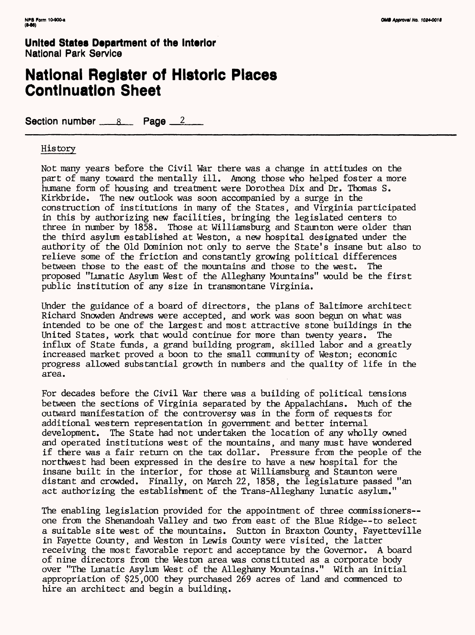### **National Register of Historic Places Continuation Sheet**

Section number  $\_\_\_\$ 8 Page  $\_\_\_\_\$ 

### History

Not many years before the Civil War there was a change in attitudes on the part of many toward the mentally ill. Among those who helped foster a more humane form of housing and treatment were Dorothea Dix and Dr. Thomas S. Kirkbride. The new outlook was soon accompanied by a surge in the construction of institutions in many of the States, and Virginia participated in this by authorizing new facilities, bringing the legislated centers to three in number by 1858. Those at Williamsburg and Staunton were older than the third asylum established at Weston, a new hospital designated under the authority of the Old Dominion not only to serve the State's insane but also to relieve some of the friction and constantly growing political differences between those to the east of the mountains and those to the west. The proposed "Lunatic Asylum West of the Alleghany Mountains" would be the first public institution of any size in transmontane Virginia.

Under the guidance of a board of directors, the plans of Baltimore architect Richard Snowden Andrews were accepted, and work was soon begun on what was intended to be one of the largest and most attractive stone buildings in the United States, work that would continue for more than twenty years. The influx of State funds, a grand building program, skilled labor and a greatly increased market proved a boon to the small community of Weston; economic progress allowed substantial growth in numbers and the quality of life in the area.

For decades before the Civil War there was a building of political tensions between the sections of Virginia separated by the Appalachians. Much of the outward manifestation of the controversy was in the form of requests for additional western representation in government and better internal development. The State had not undertaken the location of any wholly owned and operated institutions west of the mountains, and many must have wondered if there was a fair return on the tax dollar. Pressure from the people of the northwest had been expressed in the desire to have a new hospital for the insane built in the interior, for those at Williamsburg and Staunton were distant and crowded. Finally, on March 22, 1858, the legislature passed "an act authorizing the establishment of the Trans-Alleghany lunatic asylum."

The enabling legislation provided for the appointment of three commissioners-one from the Shenandoah Valley and two from east of the Blue Ridge—to select a suitable site west of the mountains. Sutton in Braxton County, Fayetteville in Fayette County, and Weston in Lewis County were visited, the latter receiving the most favorable report and acceptance by the Governor. A board of nine directors from the Weston area was constituted as a corporate body over "The Lunatic Asylum West of the Alleghany Mountains." With an initial appropriation of \$25,000 they purchased 269 acres of land and commenced to hire an architect and begin a building.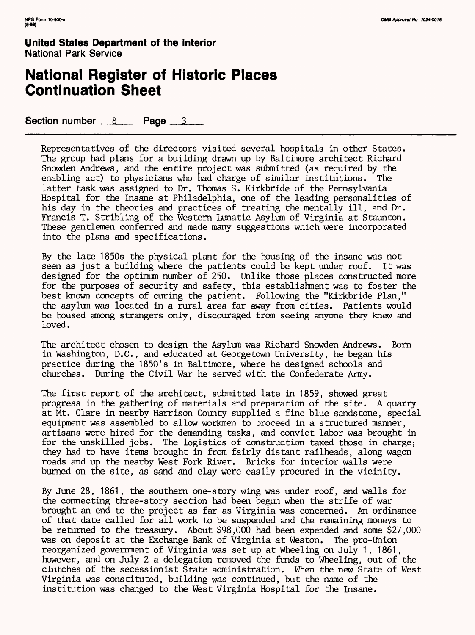### **National Register of Historic Places Continuation Sheet**

Section number  $8 \times$  Page  $3 \times 3$ 

Representatives of the directors visited several hospitals in other States. The group had plans for a building drawn up by Baltimore architect Richard Snowden Andrews, and the entire project was submitted (as required by the enabling act) to physicians who had charge of similar institutions. The latter task was assigned to Dr. Thomas S. Kirkbride of the Pennsylvania Hospital for the Insane at Philadelphia, one of the leading personalities of his day in the theories and practices of treating the mentally ill, and Dr. Francis T. Stribling of the Western Lunatic Asylum of Virginia at Staunton. These gentlemen conferred and made many suggestions which were incorporated into the plans and specifications.

By the late 1850s the physical plant for the housing of the insane was not seen as just a building where the patients could be kept under roof. It was designed for the optimum number of 250. Unlike those places constructed more for the purposes of security and safety, this establishment was to foster the best known concepts of curing the patient. Following the "Kirkbride Plan," the asylum was located in a rural area far away from cities. Patients would be housed among strangers only, discouraged from seeing anyone they knew and loved.

The architect chosen to design the Asylum was Richard Snowden Andrews. Born in Washington, D.C., and educated at Georgetown University, he began his practice during the 1850's in Baltimore, where he designed schools and churches. During the Civil War he served with the Confederate Army.

The first report of the architect, submitted late in 1859, showed great progress in the gathering of materials and preparation of the site. A quarry at Mt. Clare in nearby Harrison County supplied a fine blue sandstone, special equipment was assembled to allow workmen to proceed in a structured manner, artisans were hired for the demanding tasks, and convict labor was brought in for the unskilled jobs. The logistics of construction taxed those in charge; they had to have items brought in from fairly distant railheads, along wagon roads and up the nearby West Fork River. Bricks for interior walls were burned on the site, as sand and clay were easily procured in the vicinity.

By June 28, 1861, the southern one-story wing was under roof, and walls for the connecting three-story section had been begun when the strife of war brought an end to the project as far as Virginia was concerned. An ordinance of that date called for all work to be suspended and the remaining moneys to be returned to the treasury. About \$98,000 had been expended and some \$27,000 was on deposit at the Exchange Bank of Virginia at Weston. The pro-Union reorganized government of Virginia was set up at Wheeling on July 1 , 1861, however, and on July 2 a delegation removed the funds to Wheeling, out of the clutches of the secessionist State administration. When the new State of West Virginia was constituted, building was continued, but the name of the institution was changed to the West Virginia Hospital for the Insane.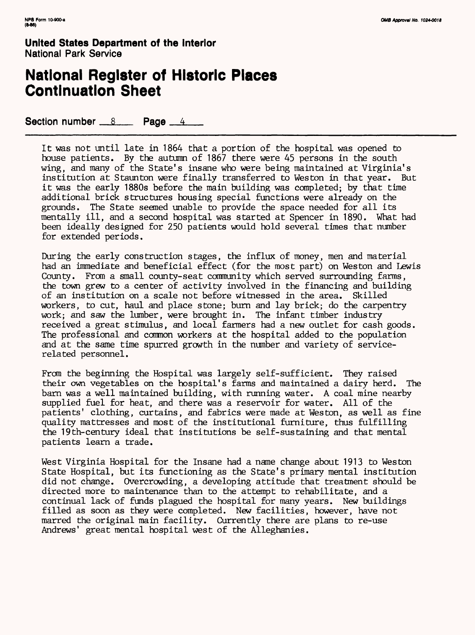## **National Register of Historic Places Continuation Sheet**

Section number  $8 \times$  Page  $4 \times 4$ 

It was not until late in 1864 that a portion of the hospital was opened to house patients. By the autumn of 1867 there were 45 persons in the south wing, and many of the State's insane who were being maintained at Virginia's institution at Staunton were finally transferred to Weston in that year. But it was the early 1880s before the main building was completed; by that time additional brick structures housing special functions were already on the grounds. The State seemed unable to provide the space needed for all its mentally ill, and a second hospital was started at Spencer in 1890. What had been ideally designed for 250 patients would hold several times that number for extended periods.

During the early construction stages, the influx of money, men and material had an immediate and beneficial effect (for the most part) on Weston and Lewis County. From a small county-seat community which served surrounding farms, the town grew to a center of activity involved in the financing and building of an institution on a scale not before witnessed in the area. Skilled workers, to cut, haul and place stone; burn and lay brick; do the carpentry work; and saw the lumber, were brought in. The infant timber industry received a great stimulus, and local farmers had a new outlet for cash goods. The professional and common workers at the hospital added to the population and at the same time spurred growth in the number and variety of servicerelated personnel.

From the beginning the Hospital was largely self-sufficient. They raised their own vegetables on the hospital's farms and maintained a dairy herd. The barn was a well maintained building, with running water. A coal mine nearby supplied fuel for heat, and there was a reservoir for water. All of the patients' clothing, curtains, and fabrics were made at Weston, as well as fine quality mattresses and most of the institutional furniture, thus fulfilling the 19th-century ideal that institutions be self-sustaining and that mental patients learn a trade.

West Virginia Hospital for the Insane had a name change about 1913 to Weston State Hospital, but its functioning as the State's primary mental institution did not change. Overcrowding, a developing attitude that treatment should be directed more to maintenance than to the attempt to rehabilitate, and a continual lack of funds plagued the hospital for many years. New buildings filled as soon as they were completed. New facilities, however, have not marred the original main facility. Currently there are plans to re-use Andrews' great mental hospital west of the Alleghanies.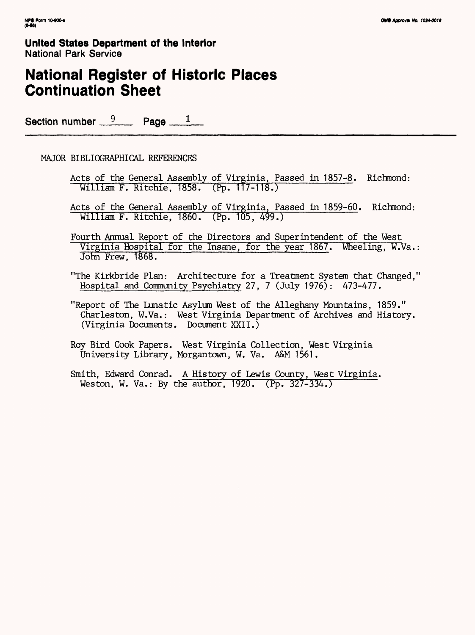# **National Register of Historic Places Continuation Sheet**

Section number  $9$  Page  $1$ 

### MAJOR BIBLIOGRAPHICAL REFERENCES

- Acts of the General Assembly of Virginia, Passed in 1857-8. Richmond: William F. Ritchie, 1858. (Pp. 117-118.)
- Acts of the General Assembly of Virginia, Passed in 1859-60. Richmond: William F. Ritchie, 1860. (Pp. 105, 499.)
- Fourth Annual Report of the Directors and Superintendent of the West Virginia Hospital for the Insane, for the year 1867. Wheeling, W.Va.: John Frew, 1868.
- "The Kirkbride Plan: Architecture for a Treatment System that Changed," Hospital and Community Psychiatry 27, 7 (July 1976) : 473-477.
- "Report of The Lunatic Asylum West of the Alleghany Mountains, 1859." Charleston, W.Va.: West Virginia Department of Archives and History. (Virginia Documents. Document XXII.)
- Roy Bird Cook Papers. West Virginia Collection, West Virginia University Library, Morgantown, W. Va. A&M 1561.
- Smith, Edward Conrad. A History of Lewis County, West Virginia. Weston, W. Va.: By the author, 1920.(Pp. 327-334.)